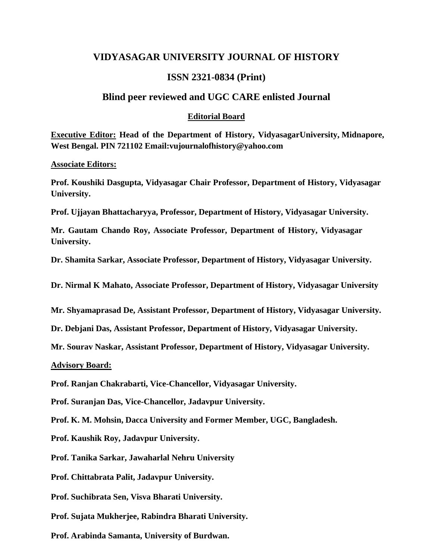# **VIDYASAGAR UNIVERSITY JOURNAL OF HISTORY**

# **ISSN 2321-0834 (Print)**

### **Blind peer reviewed and UGC CARE enlisted Journal**

### **Editorial Board**

**Executive Editor: Head of the Department of History, VidyasagarUniversity, Midnapore, West Bengal. PIN 721102 Email:vujournalofhistory@yahoo.com**

#### **Associate Editors:**

**Prof. Koushiki Dasgupta, Vidyasagar Chair Professor, Department of History, Vidyasagar University.**

**Prof. Ujjayan Bhattacharyya, Professor, Department of History, Vidyasagar University.**

**Mr. Gautam Chando Roy, Associate Professor, Department of History, Vidyasagar University.**

**Dr. Shamita Sarkar, Associate Professor, Department of History, Vidyasagar University.**

**Dr. Nirmal K Mahato, Associate Professor, Department of History, Vidyasagar University**

**Mr. Shyamaprasad De, Assistant Professor, Department of History, Vidyasagar University.**

**Dr. Debjani Das, Assistant Professor, Department of History, Vidyasagar University.**

**Mr. Sourav Naskar, Assistant Professor, Department of History, Vidyasagar University.**

### **Advisory Board:**

**Prof. Ranjan Chakrabarti, Vice-Chancellor, Vidyasagar University.**

**Prof. Suranjan Das, Vice-Chancellor, Jadavpur University.**

**Prof. K. M. Mohsin, Dacca University and Former Member, UGC, Bangladesh.**

**Prof. Kaushik Roy, Jadavpur University.**

**Prof. Tanika Sarkar, Jawaharlal Nehru University**

**Prof. Chittabrata Palit, Jadavpur University.**

**Prof. Suchibrata Sen, Visva Bharati University.**

**Prof. Sujata Mukherjee, Rabindra Bharati University.**

**Prof. Arabinda Samanta, University of Burdwan.**